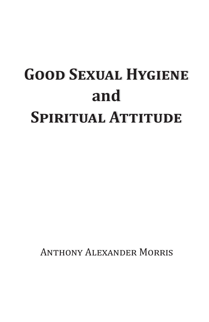# **Good Sexual Hygiene Good Sexual Hygiene and and Spiritual Attitude Spiritual Attitude**

Anthony Alexander Morris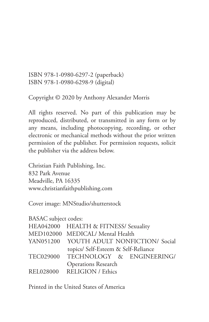ISBN 978-1-0980-6297-2 (paperback) ISBN 978-1-0980-6298-9 (digital)

Copyright © 2020 by Anthony Alexander Morris

All rights reserved. No part of this publication may be reproduced, distributed, or transmitted in any form or by any means, including photocopying, recording, or other electronic or mechanical methods without the prior written permission of the publisher. For permission requests, solicit the publisher via the address below.

Christian Faith Publishing, Inc. 832 Park Avenue Meadville, PA 16335 www.christianfaithpublishing.com

Cover image: MNStudio/shutterstock

| <b>BASAC</b> subject codes: |                                          |
|-----------------------------|------------------------------------------|
|                             | HEA042000 HEALTH & FITNESS/ Sexuality    |
|                             | MED102000 MEDICAL/ Mental Health         |
|                             | YAN051200 YOUTH ADULT NONFICTION/ Social |
|                             | topics/ Self-Esteem & Self-Reliance      |
|                             | TEC029000 TECHNOLOGY & ENGINEERING/      |
|                             | <b>Operations Research</b>               |
|                             | REL028000 RELIGION / Ethics              |

Printed in the United States of America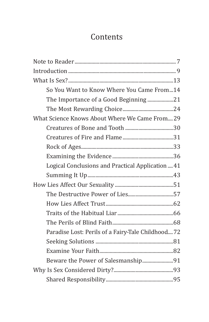## Contents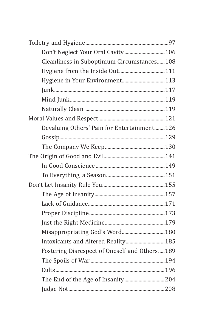| Don't Neglect Your Oral Cavity 106            |  |
|-----------------------------------------------|--|
| Cleanliness in Suboptimum Circumstances108    |  |
|                                               |  |
| Hygiene in Your Environment 113               |  |
|                                               |  |
|                                               |  |
|                                               |  |
|                                               |  |
| Devaluing Others' Pain for Entertainment 126  |  |
|                                               |  |
|                                               |  |
|                                               |  |
|                                               |  |
|                                               |  |
|                                               |  |
|                                               |  |
|                                               |  |
|                                               |  |
|                                               |  |
| Misappropriating God's Word 180               |  |
| Intoxicants and Altered Reality 185           |  |
| Fostering Disrespect of Oneself and Others189 |  |
|                                               |  |
|                                               |  |
|                                               |  |
|                                               |  |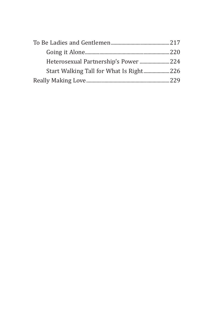| Start Walking Tall for What Is Right226 |  |
|-----------------------------------------|--|
|                                         |  |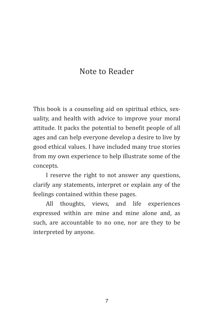## Note to Reader

This book is a counseling aid on spiritual ethics, sexuality, and health with advice to improve your moral attitude. It packs the potential to benefit people of all ages and can help everyone develop a desire to live by good ethical values. I have included many true stories from my own experience to help illustrate some of the concepts.

I reserve the right to not answer any questions, clarify any statements, interpret or explain any of the feelings contained within these pages.

All thoughts, views, and life experiences expressed within are mine and mine alone and, as such, are accountable to no one, nor are they to be interpreted by anyone.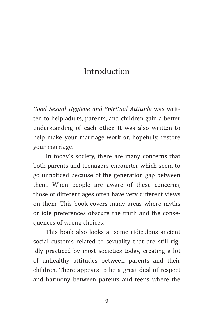## Introduction

*Good Sexual Hygiene and Spiritual Attitude* was written to help adults, parents, and children gain a better understanding of each other. It was also written to help make your marriage work or, hopefully, restore your marriage.

In today's society, there are many concerns that both parents and teenagers encounter which seem to go unnoticed because of the generation gap between them. When people are aware of these concerns, those of different ages often have very different views on them. This book covers many areas where myths or idle preferences obscure the truth and the consequences of wrong choices.

This book also looks at some ridiculous ancient social customs related to sexuality that are still rigidly practiced by most societies today, creating a lot of unhealthy attitudes between parents and their children. There appears to be a great deal of respect and harmony between parents and teens where the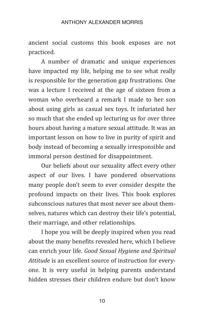#### ANTHONY AI FXANDER MORRIS

ancient social customs this book exposes are not practiced.

A number of dramatic and unique experiences have impacted my life, helping me to see what really is responsible for the generation gap frustrations. One was a lecture I received at the age of sixteen from a woman who overheard a remark I made to her son about using girls as casual sex toys. It infuriated her so much that she ended up lecturing us for over three hours about having a mature sexual attitude. It was an important lesson on how to live in purity of spirit and body instead of becoming a sexually irresponsible and immoral person destined for disappointment.

Our beliefs about our sexuality affect every other aspect of our lives. I have pondered observations many people don't seem to ever consider despite the profound impacts on their lives. This book explores subconscious natures that most never see about themselves, natures which can destroy their life's potential, their marriage, and other relationships.

I hope you will be deeply inspired when you read about the many benefits revealed here, which I believe can enrich your life. *Good Sexual Hygiene and Spiritual Attitude* is an excellent source of instruction for everyone. It is very useful in helping parents understand hidden stresses their children endure but don't know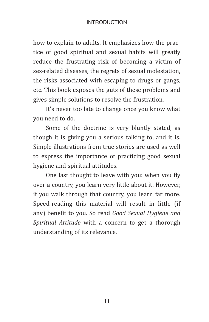#### Introduction

how to explain to adults. It emphasizes how the practice of good spiritual and sexual habits will greatly reduce the frustrating risk of becoming a victim of sex-related diseases, the regrets of sexual molestation, the risks associated with escaping to drugs or gangs, etc. This book exposes the guts of these problems and gives simple solutions to resolve the frustration.

It's never too late to change once you know what you need to do.

Some of the doctrine is very bluntly stated, as though it is giving you a serious talking to, and it is. Simple illustrations from true stories are used as well to express the importance of practicing good sexual hygiene and spiritual attitudes.

One last thought to leave with you: when you fly over a country, you learn very little about it. However, if you walk through that country, you learn far more. Speed-reading this material will result in little (if any) benefit to you. So read *Good Sexual Hygiene and Spiritual Attitude* with a concern to get a thorough understanding of its relevance.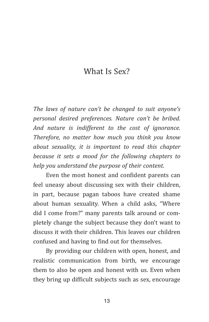## What Is Sex?

*The laws of nature can't be changed to suit anyone's personal desired preferences. Nature can't be bribed. And nature is indifferent to the cost of ignorance. Therefore, no matter how much you think you know about sexuality, it is important to read this chapter because it sets a mood for the following chapters to help you understand the purpose of their content.*

Even the most honest and confident parents can feel uneasy about discussing sex with their children, in part, because pagan taboos have created shame about human sexuality. When a child asks, "Where did I come from?" many parents talk around or completely change the subject because they don't want to discuss it with their children. This leaves our children confused and having to find out for themselves.

By providing our children with open, honest, and realistic communication from birth, we encourage them to also be open and honest with us. Even when they bring up difficult subjects such as sex, encourage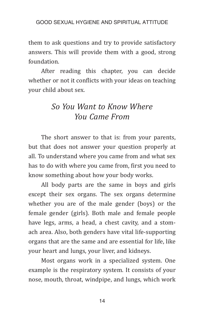them to ask questions and try to provide satisfactory answers. This will provide them with a good, strong foundation.

After reading this chapter, you can decide whether or not it conflicts with your ideas on teaching your child about sex.

## *So You Want to Know Where You Came From*

The short answer to that is: from your parents, but that does not answer your question properly at all. To understand where you came from and what sex has to do with where you came from, first you need to know something about how your body works.

All body parts are the same in boys and girls except their sex organs. The sex organs determine whether you are of the male gender (boys) or the female gender (girls). Both male and female people have legs, arms, a head, a chest cavity, and a stomach area. Also, both genders have vital life-supporting organs that are the same and are essential for life, like your heart and lungs, your liver, and kidneys.

Most organs work in a specialized system. One example is the respiratory system. It consists of your nose, mouth, throat, windpipe, and lungs, which work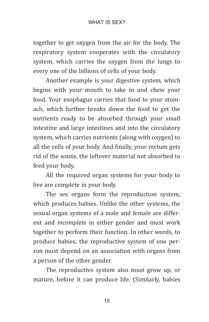together to get oxygen from the air for the body. The respiratory system cooperates with the circulatory system, which carries the oxygen from the lungs to every one of the billions of cells of your body.

Another example is your digestive system, which begins with your mouth to take in and chew your food. Your esophagus carries that food to your stomach, which further breaks down the food to get the nutrients ready to be absorbed through your small intestine and large intestines and into the circulatory system, which carries nutrients (along with oxygen) to all the cells of your body. And finally, your rectum gets rid of the waste, the leftover material not absorbed to feed your body.

All the required organ systems for your body to live are complete in your body.

The sex organs form the reproduction system, which produces babies. Unlike the other systems, the sexual organ systems of a male and female are different and *incomplete* in either gender and must work together to perform their function. In other words, to produce babies, the reproductive system of one person must depend on an association with organs from a person of the other gender.

The reproductive system also must grow up, or mature, before it can produce life. (Similarly, babies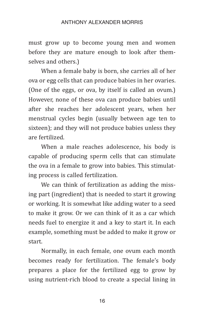#### ANTHONY ALEXANDER MORRIS

must grow up to become young men and women before they are mature enough to look after themselves and others.)

When a female baby is born, she carries all of her ova or egg cells that can produce babies in her ovaries. (One of the eggs, or ova, by itself is called an ovum.) However, none of these ova can produce babies until after she reaches her adolescent years, when her menstrual cycles begin (usually between age ten to sixteen); and they will not produce babies unless they are fertilized.

When a male reaches adolescence, his body is capable of producing sperm cells that can stimulate the ova in a female to grow into babies. This stimulating process is called fertilization.

We can think of fertilization as adding the missing part (ingredient) that is needed to start it growing or working. It is somewhat like adding water to a seed to make it grow. Or we can think of it as a car which needs fuel to energize it and a key to start it. In each example, something must be added to make it grow or start.

Normally, in each female, one ovum each month becomes ready for fertilization. The female's body prepares a place for the fertilized egg to grow by using nutrient-rich blood to create a special lining in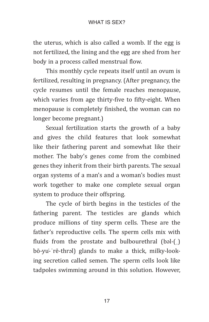the uterus, which is also called a womb. If the egg is not fertilized, the lining and the egg are shed from her body in a process called menstrual flow.

This monthly cycle repeats itself until an ovum is fertilized, resulting in pregnancy. (After pregnancy, the cycle resumes until the female reaches menopause, which varies from age thirty-five to fifty-eight. When menopause is completely finished, the woman can no longer become pregnant.)

Sexual fertilization starts the growth of a baby and gives the child features that look somewhat like their fathering parent and somewhat like their mother. The baby's genes come from the combined genes they inherit from their birth parents. The sexual organ systems of a man's and a woman's bodies must work together to make one complete sexual organ system to produce their offspring.

The cycle of birth begins in the testicles of the fathering parent. The testicles are glands which produce millions of tiny sperm cells. These are the father's reproductive cells. The sperm cells mix with fluids from the prostate and bulbourethral  $(bəl-f)$ bō-yu̇-ˈrē-thrəl) glands to make a thick, milky-looking secretion called semen. The sperm cells look like tadpoles swimming around in this solution. However,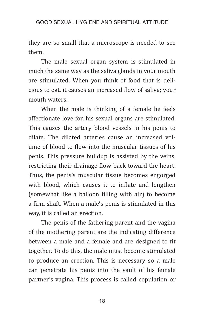they are so small that a microscope is needed to see them.

The male sexual organ system is stimulated in much the same way as the saliva glands in your mouth are stimulated. When you think of food that is delicious to eat, it causes an increased flow of saliva; your mouth waters.

When the male is thinking of a female he feels affectionate love for, his sexual organs are stimulated. This causes the artery blood vessels in his penis to dilate. The dilated arteries cause an increased volume of blood to flow into the muscular tissues of his penis. This pressure buildup is assisted by the veins, restricting their drainage flow back toward the heart. Thus, the penis's muscular tissue becomes engorged with blood, which causes it to inflate and lengthen (somewhat like a balloon filling with air) to become a firm shaft. When a male's penis is stimulated in this way, it is called an erection.

The penis of the fathering parent and the vagina of the mothering parent are the indicating difference between a male and a female and are designed to fit together. To do this, the male must become stimulated to produce an erection. This is necessary so a male can penetrate his penis into the vault of his female partner's vagina. This process is called copulation or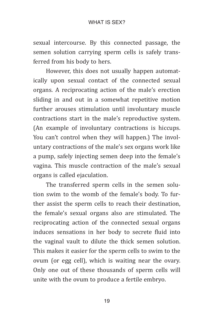sexual intercourse. By this connected passage, the semen solution carrying sperm cells is safely transferred from his body to hers.

However, this does not usually happen automatically upon sexual contact of the connected sexual organs. A reciprocating action of the male's erection sliding in and out in a somewhat repetitive motion further arouses stimulation until involuntary muscle contractions start in the male's reproductive system. (An example of involuntary contractions is hiccups. You can't control when they will happen.) The involuntary contractions of the male's sex organs work like a pump, safely injecting semen deep into the female's vagina. This muscle contraction of the male's sexual organs is called ejaculation.

The transferred sperm cells in the semen solution swim to the womb of the female's body. To further assist the sperm cells to reach their destination, the female's sexual organs also are stimulated. The reciprocating action of the connected sexual organs induces sensations in her body to secrete fluid into the vaginal vault to dilute the thick semen solution. This makes it easier for the sperm cells to swim to the ovum (or egg cell), which is waiting near the ovary. Only one out of these thousands of sperm cells will unite with the ovum to produce a fertile embryo.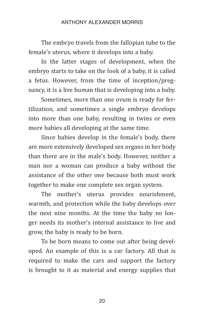#### ANTHONY ALEXANDER MORRIS

The embryo travels from the fallopian tube to the female's uterus, where it develops into a baby.

In the latter stages of development, when the embryo starts to take on the look of a baby, it is called a fetus. However, from the time of inception/pregnancy, it is a live human that is developing into a baby.

Sometimes, more than one ovum is ready for fertilization, and sometimes a single embryo develops into more than one baby, resulting in twins or even more babies all developing at the same time.

Since babies develop in the female's body, there are more extensively developed sex organs in her body than there are in the male's body. However, neither a man nor a woman can produce a baby without the assistance of the other one because both must work together to make one complete sex organ system.

The mother's uterus provides nourishment, warmth, and protection while the baby develops over the next nine months. At the time the baby no longer needs its mother's internal assistance to live and grow, the baby is ready to be born.

To be born means to come out after being developed. An example of this is a car factory. All that is required to make the cars and support the factory is brought to it as material and energy supplies that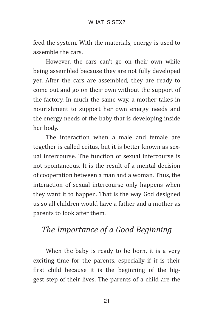feed the system. With the materials, energy is used to assemble the cars.

However, the cars can't go on their own while being assembled because they are not fully developed yet. After the cars are assembled, they are ready to come out and go on their own without the support of the factory. In much the same way, a mother takes in nourishment to support her own energy needs and the energy needs of the baby that is developing inside her body.

The interaction when a male and female are together is called coitus, but it is better known as sexual intercourse. The function of sexual intercourse is not spontaneous. It is the result of a mental decision of cooperation between a man and a woman. Thus, the interaction of sexual intercourse only happens when they want it to happen. That is the way God designed us so all children would have a father and a mother as parents to look after them.

## *The Importance of a Good Beginning*

When the baby is ready to be born, it is a very exciting time for the parents, especially if it is their first child because it is the beginning of the biggest step of their lives. The parents of a child are the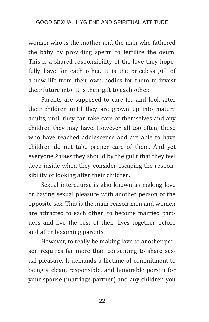woman who is the mother and the man who fathered the baby by providing sperm to fertilize the ovum. This is a shared responsibility of the love they hopefully have for each other. It is the priceless gift of a new life from their own bodies for them to invest their future into. It is their gift to each other.

Parents are supposed to care for and look after their children until they are grown up into mature adults, until they can take care of themselves and any children they may have. However, all too often, those who have reached adolescence and are able to have children do not take proper care of them. And yet everyone *knows* they should by the guilt that they feel deep inside when they consider escaping the responsibility of looking after their children.

Sexual intercourse is also known as making love or having sexual pleasure with another person of the opposite sex. This is the main reason men and women are attracted to each other: to become married partners and live the rest of their lives together before and after becoming parents

However, to really be making love to another person requires far more than consenting to share sexual pleasure. It demands a lifetime of commitment to being a clean, responsible, and honorable person for your spouse (marriage partner) and any children you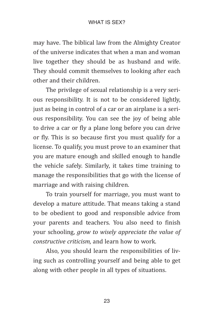#### WHAT IS SFX?

may have. The biblical law from the Almighty Creator of the universe indicates that when a man and woman live together they should be as husband and wife. They should commit themselves to looking after each other and their children.

The privilege of sexual relationship is a very serious responsibility. It is not to be considered lightly, just as being in control of a car or an airplane is a serious responsibility. You can see the joy of being able to drive a car or fly a plane long before you can drive or fly. This is so because first you must qualify for a license. To qualify, you must prove to an examiner that you are mature enough and skilled enough to handle the vehicle safely. Similarly, it takes time training to manage the responsibilities that go with the license of marriage and with raising children.

To train yourself for marriage, you must want to develop a mature attitude. That means taking a stand to be obedient to good and responsible advice from your parents and teachers. You also need to finish your schooling, *grow to wisely appreciate the value of constructive criticism,* and learn how to work.

Also, you should learn the responsibilities of living such as controlling yourself and being able to get along with other people in all types of situations.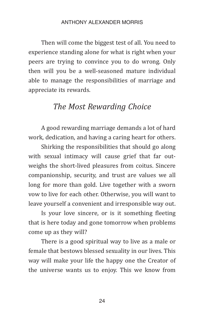#### ANTHONY AI FXANDER MORRIS

Then will come the biggest test of all. You need to experience standing alone for what is right when your peers are trying to convince you to do wrong. Only then will you be a well-seasoned mature individual able to manage the responsibilities of marriage and appreciate its rewards.

### *The Most Rewarding Choice*

A good rewarding marriage demands a lot of hard work, dedication, and having a caring heart for others.

Shirking the responsibilities that should go along with sexual intimacy will cause grief that far outweighs the short-lived pleasures from coitus. Sincere companionship, security, and trust are values we all long for more than gold. Live together with a sworn vow to live for each other. Otherwise, you will want to leave yourself a convenient and irresponsible way out.

Is your love sincere, or is it something fleeting that is here today and gone tomorrow when problems come up as they will?

There is a good spiritual way to live as a male or female that bestows blessed sexuality in our lives. This way will make your life the happy one the Creator of the universe wants us to enjoy. This we know from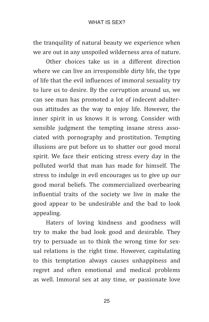the tranquility of natural beauty we experience when we are out in any unspoiled wilderness area of nature.

Other choices take us in a different direction where we can live an irresponsible dirty life, the type of life that the evil influences of immoral sexuality try to lure us to desire. By the corruption around us, we can see man has promoted a lot of indecent adulterous attitudes as the way to enjoy life. However, the inner spirit in us knows it is wrong. Consider with sensible judgment the tempting insane stress associated with pornography and prostitution. Tempting illusions are put before us to shatter our good moral spirit. We face their enticing stress every day in the polluted world that man has made for himself. The stress to indulge in evil encourages us to give up our good moral beliefs. The commercialized overbearing influential traits of the society we live in make the good appear to be undesirable and the bad to look appealing.

Haters of loving kindness and goodness will try to make the bad look good and desirable. They try to persuade us to think the wrong time for sexual relations is the right time. However, capitulating to this temptation always causes unhappiness and regret and often emotional and medical problems as well. Immoral sex at any time, or passionate love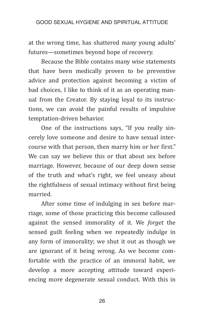at the wrong time, has shattered many young adults' futures—sometimes beyond hope of recovery.

Because the Bible contains many wise statements that have been medically proven to be preventive advice and protection against becoming a victim of bad choices, I like to think of it as an operating manual from the Creator. By staying loyal to its instructions, we can avoid the painful results of impulsive temptation-driven behavior.

One of the instructions says, "If you really sincerely love someone and desire to have sexual intercourse with that person, then marry him or her first." We can say we believe this or that about sex before marriage. However, because of our deep down sense of the truth and what's right, we feel uneasy about the rightfulness of sexual intimacy without first being married.

After some time of indulging in sex before marriage, some of those practicing this become calloused against the sensed immorality of it. We *forget* the sensed guilt feeling when we repeatedly indulge in any form of immorality; we shut it out as though we are ignorant of it being wrong. As we become comfortable with the practice of an immoral habit, we develop a more accepting attitude toward experiencing more degenerate sexual conduct. With this in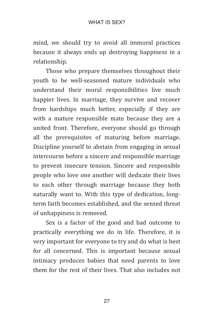mind, we should try to avoid all immoral practices because it always ends up destroying happiness in a relationship.

Those who prepare themselves throughout their youth to be well-seasoned mature individuals who understand their moral responsibilities live much happier lives. In marriage, they survive and recover from hardships much better, especially if they are with a mature responsible mate because they are a united front. Therefore, everyone should go through all the prerequisites of maturing before marriage. Discipline yourself to abstain from engaging in sexual intercourse before a sincere and responsible marriage to prevent insecure tension. Sincere and responsible people who love one another will dedicate their lives to each other through marriage because they both naturally want to. With this type of dedication, longterm faith becomes established, and the sensed threat of unhappiness is removed.

Sex is a factor of the good and bad outcome to practically everything we do in life. Therefore, it is very important for everyone to try and do what is best for all concerned. This is important because sexual intimacy produces babies that need parents to love them for the rest of their lives. That also includes not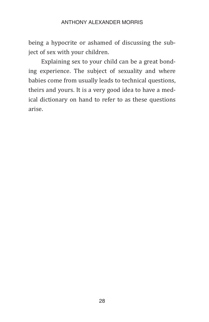#### Anthony Alexander Morris

being a hypocrite or ashamed of discussing the subject of sex with your children.

Explaining sex to your child can be a great bonding experience. The subject of sexuality and where babies come from usually leads to technical questions, theirs and yours. It is a very good idea to have a medical dictionary on hand to refer to as these questions arise.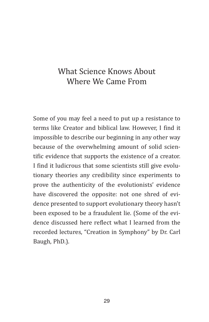## What Science Knows About Where We Came From

Some of you may feel a need to put up a resistance to terms like Creator and biblical law. However, I find it impossible to describe our beginning in any other way because of the overwhelming amount of solid scientific evidence that supports the existence of a creator. I find it ludicrous that some scientists still give evolutionary theories any credibility since experiments to prove the authenticity of the evolutionists' evidence have discovered the opposite: not one shred of evidence presented to support evolutionary theory hasn't been exposed to be a fraudulent lie. (Some of the evidence discussed here reflect what I learned from the recorded lectures, "Creation in Symphony" by Dr. Carl Baugh, PhD.).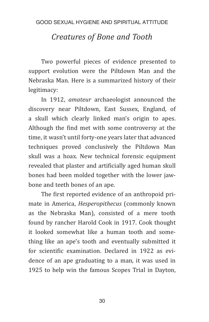## *Creatures of Bone and Tooth*

Two powerful pieces of evidence presented to support evolution were the Piltdown Man and the Nebraska Man. Here is a summarized history of their legitimacy:

In 1912, *amateur* archaeologist announced the discovery near Piltdown, East Sussex, England, of a skull which clearly linked man's origin to apes. Although the find met with some controversy at the time, it wasn't until forty-one years later that advanced techniques proved conclusively the Piltdown Man skull was a hoax. New technical forensic equipment revealed that plaster and artificially aged human skull bones had been molded together with the lower jawbone and teeth bones of an ape.

The first reported evidence of an anthropoid primate in America, *Hesperopithecus* (commonly known as the Nebraska Man), consisted of a mere tooth found by rancher Harold Cook in 1917. Cook thought it looked somewhat like a human tooth and something like an ape's tooth and eventually submitted it for scientific examination. Declared in 1922 as evidence of an ape graduating to a man, it was used in 1925 to help win the famous Scopes Trial in Dayton,